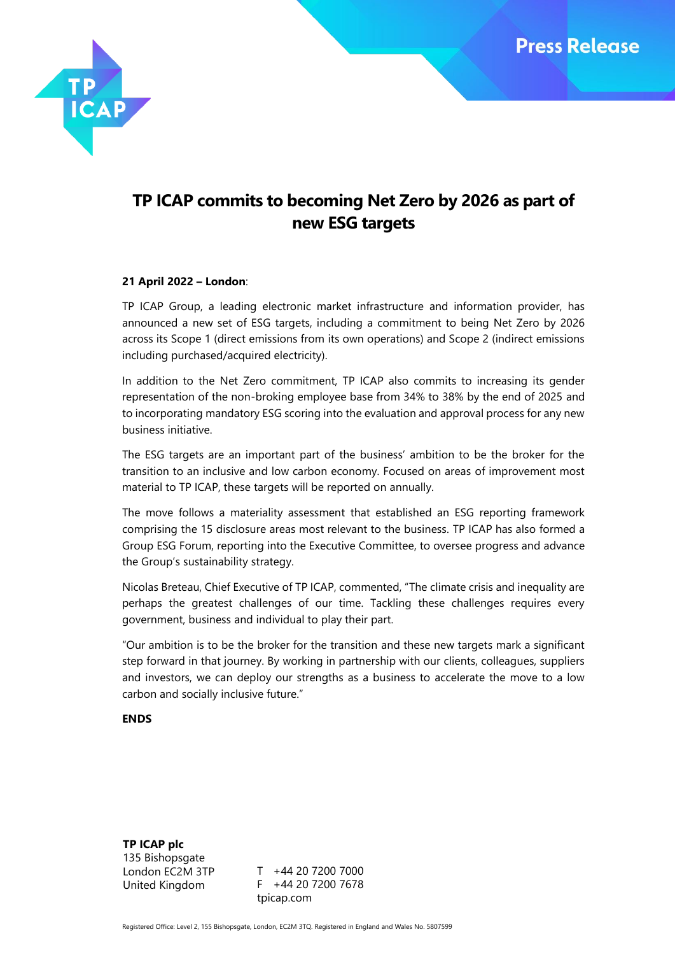

# **TP ICAP commits to becoming Net Zero by 2026 as part of new ESG targets**

## **21 April 2022 – London**:

TP ICAP Group, a leading electronic market infrastructure and information provider, has announced a new set of ESG targets, including a commitment to being Net Zero by 2026 across its Scope 1 (direct emissions from its own operations) and Scope 2 (indirect emissions including purchased/acquired electricity).

In addition to the Net Zero commitment, TP ICAP also commits to increasing its gender representation of the non-broking employee base from 34% to 38% by the end of 2025 and to incorporating mandatory ESG scoring into the evaluation and approval process for any new business initiative.

The ESG targets are an important part of the business' ambition to be the broker for the transition to an inclusive and low carbon economy. Focused on areas of improvement most material to TP ICAP, these targets will be reported on annually.

The move follows a materiality assessment that established an ESG reporting framework comprising the 15 disclosure areas most relevant to the business. TP ICAP has also formed a Group ESG Forum, reporting into the Executive Committee, to oversee progress and advance the Group's sustainability strategy.

Nicolas Breteau, Chief Executive of TP ICAP, commented, "The climate crisis and inequality are perhaps the greatest challenges of our time. Tackling these challenges requires every government, business and individual to play their part.

"Our ambition is to be the broker for the transition and these new targets mark a significant step forward in that journey. By working in partnership with our clients, colleagues, suppliers and investors, we can deploy our strengths as a business to accelerate the move to a low carbon and socially inclusive future."

### **ENDS**

**TP ICAP plc** 135 Bishopsgate London EC2M 3TP United Kingdom

T +44 20 7200 7000 F +44 20 7200 7678 tpicap.com